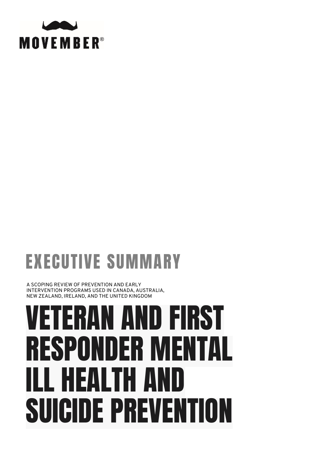

## EXECUTIVE SUMMARY

A SCOPING REVIEW OF PREVENTION AND EARLY INTERVENTION PROGRAMS USED IN CANADA, AUSTRALIA, NEW ZEALAND, IRELAND, AND THE UNITED KINGDOM

# VETERAN AND FIRST RESPONDER MENTAL ILL HEALTH AND SUICIDE PREVENTION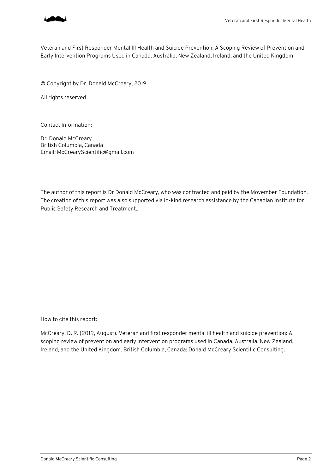

Veteran and First Responder Mental Ill Health and Suicide Prevention: A Scoping Review of Prevention and Early Intervention Programs Used in Canada, Australia, New Zealand, Ireland, and the United Kingdom

© Copyright by Dr. Donald McCreary, 2019.

All rights reserved

Contact Information:

Dr. Donald McCreary British Columbia, Canada Email: McCrearyScientific@gmail.com

The author of this report is Dr Donald McCreary, who was contracted and paid by the Movember Foundation. The creation of this report was also supported via in-kind research assistance by the Canadian Institute for Public Safety Research and Treatment..

How to cite this report:

McCreary, D. R. (2019, August). Veteran and first responder mental ill health and suicide prevention: A scoping review of prevention and early intervention programs used in Canada, Australia, New Zealand, Ireland, and the United Kingdom. British Columbia, Canada: Donald McCreary Scientific Consulting.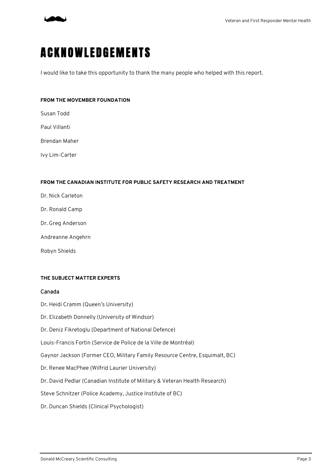

## **A C K N O W L E D G E M E N T S**

I would like to take this opportunity to thank the many people who helped with this report.

#### **FROM THE MOVEMBER FOUNDATION**

Susan Todd

Paul Villanti

Brendan Maher

Ivy Lim-Carter

#### **FROM THE CANADIAN INSTITUTE FOR PUBLIC SAFETY RESEARCH AND TREATMENT**

Dr. Nick Carleton

- Dr. Ronald Camp
- Dr. Greg Anderson
- Andreanne Angehrn
- Robyn Shields

#### **THE SUBJECT MATTER EXPERTS**

#### Canada

Dr. Heidi Cramm (Queen's University)

- Dr. Elizabeth Donnelly (University of Windsor)
- Dr. Deniz Fikretoglu (Department of National Defence)

Louis-Francis Fortin (Service de Police de la Ville de Montréal)

Gaynor Jackson (Former CEO, Military Family Resource Centre, Esquimalt, BC)

- Dr. Renee MacPhee (Wilfrid Laurier University)
- Dr. David Pedlar (Canadian Institute of Military & Veteran Health Research)

Steve Schnitzer (Police Academy, Justice Institute of BC)

Dr. Duncan Shields (Clinical Psychologist)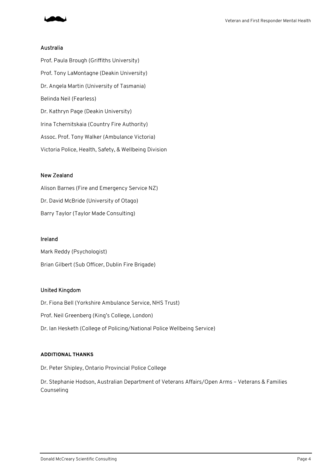

#### Australia

Prof. Paula Brough (Griffiths University) Prof. Tony LaMontagne (Deakin University) Dr. Angela Martin (University of Tasmania) Belinda Neil (Fearless) Dr. Kathryn Page (Deakin University) Irina Tchernitskaia (Country Fire Authority) Assoc. Prof. Tony Walker (Ambulance Victoria) Victoria Police, Health, Safety, & Wellbeing Division

#### New Zealand

Alison Barnes (Fire and Emergency Service NZ) Dr. David McBride (University of Otago) Barry Taylor (Taylor Made Consulting)

#### Ireland

Mark Reddy (Psychologist) Brian Gilbert (Sub Officer, Dublin Fire Brigade)

#### United Kingdom

Dr. Fiona Bell (Yorkshire Ambulance Service, NHS Trust) Prof. Neil Greenberg (King's College, London) Dr. Ian Hesketh (College of Policing/National Police Wellbeing Service)

#### **ADDITIONAL THANKS**

Dr. Peter Shipley, Ontario Provincial Police College

Dr. Stephanie Hodson, Australian Department of Veterans Affairs/Open Arms – Veterans & Families Counseling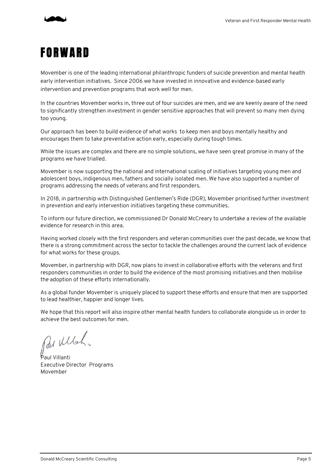

### FORWARD

Movember is one of the leading international philanthropic funders of suicide prevention and mental health early intervention initiatives. Since 2006 we have invested in innovative and evidence-based early intervention and prevention programs that work well for men.

In the countries Movember works in, three out of four suicides are men, and we are keenly aware of the need to significantly strengthen investment in gender sensitive approaches that will prevent so many men dying too young.

Our approach has been to build evidence of what works to keep men and boys mentally healthy and encourages them to take preventative action early, especially during tough times.

While the issues are complex and there are no simple solutions, we have seen great promise in many of the programs we have trialled.

Movember is now supporting the national and international scaling of initiatives targeting young men and adolescent boys, indigenous men, fathers and socially isolated men. We have also supported a number of programs addressing the needs of veterans and first responders.

In 2018, in partnership with Distinguished Gentlemen's Ride (DGR), Movember prioritised further investment in prevention and early intervention initiatives targeting these communities.

To inform our future direction, we commissioned Dr Donald McCreary to undertake a review of the available evidence for research in this area.

Having worked closely with the first responders and veteran communities over the past decade, we know that there is a strong commitment across the sector to tackle the challenges around the current lack of evidence for what works for these groups.

Movember, in partnership with DGR, now plans to invest in collaborative efforts with the veterans and first responders communities in order to build the evidence of the most promising initiatives and then mobilise the adoption of these efforts internationally.

As a global funder Movember is uniquely placed to support these efforts and ensure that men are supported to lead healthier, happier and longer lives.

We hope that this report will also inspire other mental health funders to collaborate alongside us in order to achieve the best outcomes for men.

Rai Wilsh.

Paul Villanti Executive Director Programs Movember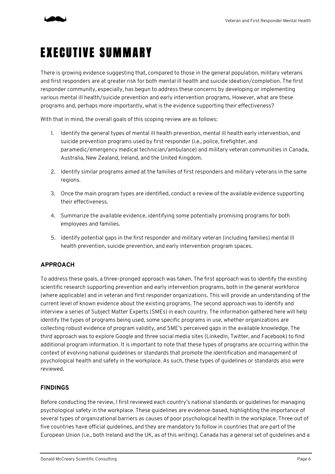

## EXECUTIVE SUMMARY

There is growing evidence suggesting that, compared to those in the general population, military veterans and first responders are at greater risk for both mental ill health and suicide ideation/completion. The first responder community, especially, has begun to address these concerns by developing or implementing various mental ill health/suicide prevention and early intervention programs. However, what are these programs and, perhaps more importantly, what is the evidence supporting their effectiveness?

With that in mind, the overall goals of this scoping review are as follows:

- 1. Identify the general types of mental ill health prevention, mental ill health early intervention, and suicide prevention programs used by first responder (i.e., police, firefighter, and paramedic/emergency medical technician/ambulance) and military veteran communities in Canada, Australia, New Zealand, Ireland, and the United Kingdom.
- 2. Identify similar programs aimed at the families of first responders and military veterans in the same regions.
- 3. Once the main program types are identified, conduct a review of the available evidence supporting their effectiveness.
- 4. Summarize the available evidence, identifying some potentially promising programs for both employees and families.
- 5. Identify potential gaps in the first responder and military veteran (including families) mental ill health prevention, suicide prevention, and early intervention program spaces.

#### **APPROACH**

To address these goals, a three-pronged approach was taken. The first approach was to identify the existing scientific research supporting prevention and early intervention programs, both in the general workforce (where applicable) and in veteran and first responder organizations. This will provide an understanding of the current level of known evidence about the existing programs. The second approach was to identify and interview a series of Subject Matter Experts (SMEs) in each country. The information gathered here will help identify the types of programs being used, some specific programs in use, whether organizations are collecting robust evidence of program validity, and SME's perceived gaps in the available knowledge. The third approach was to explore Google and three social media sites (LinkedIn, Twitter, and Facebook) to find additional program information. It is important to note that these types of programs are occurring within the context of evolving national guidelines or standards that promote the identification and management of psychological health and safety in the workplace. As such, these types of guidelines or standards also were reviewed.

#### **FINDINGS**

Before conducting the review, I first reviewed each country's national standards or guidelines for managing psychological safety in the workplace. These guidelines are evidence-based, highlighting the importance of several types of organizational barriers as causes of poor psychological health in the workplace. Three out of five countries have official guidelines, and they are mandatory to follow in countries that are part of the European Union (i.e., both Ireland and the UK, as of this writing). Canada has a general set of guidelines and a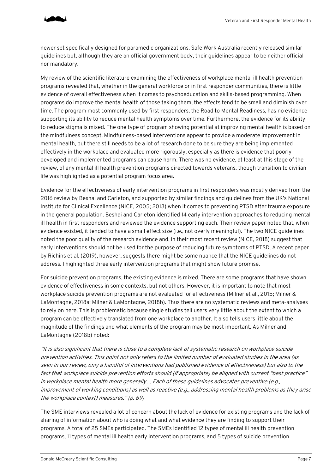

newer set specifically designed for paramedic organizations. Safe Work Australia recently released similar guidelines but, although they are an official government body, their guidelines appear to be neither official nor mandatory.

My review of the scientific literature examining the effectiveness of workplace mental ill health prevention programs revealed that, whether in the general workforce or in first responder communities, there is little evidence of overall effectiveness when it comes to psychoeducation and skills-based programming. When programs do improve the mental health of those taking them, the effects tend to be small and diminish over time. The program most commonly used by first responders, the Road to Mental Readiness, has no evidence supporting its ability to reduce mental health symptoms over time. Furthermore, the evidence for its ability to reduce stigma is mixed. The one type of program showing potential at improving mental health is based on the mindfulness concept. Mindfulness-based interventions appear to provide a moderate improvement in mental health, but there still needs to be a lot of research done to be sure they are being implemented effectively in the workplace and evaluated more rigorously, especially as there is evidence that poorly developed and implemented programs can cause harm. There was no evidence, at least at this stage of the review, of any mental ill health prevention programs directed towards veterans, though transition to civilian life was highlighted as a potential program focus area.

Evidence for the effectiveness of early intervention programs in first responders was mostly derived from the 2016 review by Beshai and Carleton, and supported by similar findings and guidelines from the UK's National Institute for Clinical Excellence (NICE, 2005; 2018) when it comes to preventing PTSD after trauma exposure in the general population. Beshai and Carleton identified 14 early intervention approaches to reducing mental ill health in first responders and reviewed the evidence supporting each. Their review paper noted that, when evidence existed, it tended to have a small effect size (i.e., not overly meaningful). The two NICE guidelines noted the poor quality of the research evidence and, in their most recent review (NICE, 2018) suggest that early interventions should not be used for the purpose of reducing future symptoms of PTSD. A recent paper by Richins et al. (2019), however, suggests there might be some nuance that the NICE guidelines do not address. I highlighted three early intervention programs that might show future promise.

For suicide prevention programs, the existing evidence is mixed. There are some programs that have shown evidence of effectiveness in some contexts, but not others. However, it is important to note that most workplace suicide prevention programs are not evaluated for effectiveness (Milner et al., 2015; Milner & LaMontagne, 2018a; Milner & LaMontagne, 2018b). Thus there are no systematic reviews and meta-analyses to rely on here. This is problematic because single studies tell users very little about the extent to which a program can be effectively translated from one workplace to another. It also tells users little about the magnitude of the findings and what elements of the program may be most important. As Milner and LaMontagne (2018b) noted:

"It is also significant that there is close to a complete lack of systematic research on workplace suicide prevention activities. This point not only refers to the limited number of evaluated studies in the area (as seen in our review, only a handful of interventions had published evidence of effectiveness) but also to the fact that workplace suicide prevention efforts should (if appropriate) be aligned with current "best practice" in workplace mental health more generally ... Each of these guidelines advocates preventive (e.g., improvement of working conditions) as well as reactive (e.g., addressing mental health problems as they arise the workplace context) measures." (p. 69)

The SME interviews revealed a lot of concern about the lack of evidence for existing programs and the lack of sharing of information about who is doing what and what evidence they are finding to support their programs. A total of 25 SMEs participated. The SMEs identified 12 types of mental ill health prevention programs, 11 types of mental ill health early intervention programs, and 5 types of suicide prevention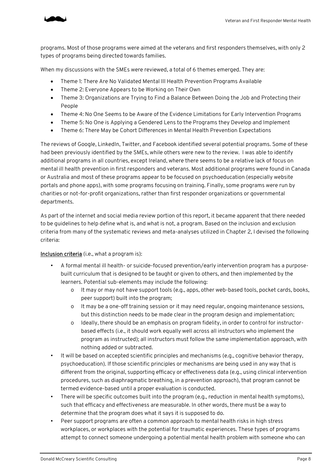

programs. Most of those programs were aimed at the veterans and first responders themselves, with only 2 types of programs being directed towards families.

When my discussions with the SMEs were reviewed, a total of 6 themes emerged. They are:

- Theme 1: There Are No Validated Mental Ill Health Prevention Programs Available
- Theme 2: Everyone Appears to be Working on Their Own
- Theme 3: Organizations are Trying to Find a Balance Between Doing the Job and Protecting their People
- Theme 4: No One Seems to be Aware of the Evidence Limitations for Early Intervention Programs
- Theme 5: No One is Applying a Gendered Lens to the Programs they Develop and Implement
- Theme 6: There May be Cohort Differences in Mental Health Prevention Expectations

The reviews of Google, LinkedIn, Twitter, and Facebook identified several potential programs. Some of these had been previously identified by the SMEs, while others were new to the review. I was able to identify additional programs in all countries, except Ireland, where there seems to be a relative lack of focus on mental ill health prevention in first responders and veterans. Most additional programs were found in Canada or Australia and most of these programs appear to be focused on psychoeducation (especially website portals and phone apps), with some programs focusing on training. Finally, some programs were run by charities or not-for-profit organizations, rather than first responder organizations or governmental departments.

As part of the internet and social media review portion of this report, it became apparent that there needed to be guidelines to help define what is, and what is not, a program. Based on the inclusion and exclusion criteria from many of the systematic reviews and meta-analyses utilized in Chapter 2, I devised the following criteria:

#### Inclusion criteria (i.e., what a program is):

- A formal mental ill health- or suicide-focused prevention/early intervention program has a purposebuilt curriculum that is designed to be taught or given to others, and then implemented by the learners. Potential sub-elements may include the following:
	- o It may or may not have support tools (e.g., apps, other web-based tools, pocket cards, books, peer support) built into the program;
	- o It may be a one-off training session or it may need regular, ongoing maintenance sessions, but this distinction needs to be made clear in the program design and implementation;
	- o Ideally, there should be an emphasis on program fidelity, in order to control for instructorbased effects (i.e., it should work equally well across all instructors who implement the program as instructed); all instructors must follow the same implementation approach, with nothing added or subtracted.
- It will be based on accepted scientific principles and mechanisms (e.g., cognitive behavior therapy, psychoeducation). If those scientific principles or mechanisms are being used in any way that is different from the original, supporting efficacy or effectiveness data (e.g., using clinical intervention procedures, such as diaphragmatic breathing, in a prevention approach), that program cannot be termed evidence-based until a proper evaluation is conducted.
- There will be specific outcomes built into the program (e.g., reduction in mental health symptoms), such that efficacy and effectiveness are measurable. In other words, there must be a way to determine that the program does what it says it is supposed to do.
- Peer support programs are often a common approach to mental health risks in high stress workplaces, or workplaces with the potential for traumatic experiences. These types of programs attempt to connect someone undergoing a potential mental health problem with someone who can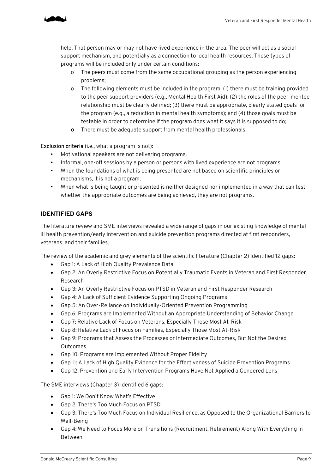

help. That person may or may not have lived experience in the area. The peer will act as a social support mechanism, and potentially as a connection to local health resources. These types of programs will be included only under certain conditions:

- o The peers must come from the same occupational grouping as the person experiencing problems;
- o The following elements must be included in the program: (1) there must be training provided to the peer support providers (e.g., Mental Health First Aid); (2) the roles of the peer-mentee relationship must be clearly defined; (3) there must be appropriate, clearly stated goals for the program (e.g., a reduction in mental health symptoms); and (4) those goals must be testable in order to determine if the program does what it says it is supposed to do;
- o There must be adequate support from mental health professionals.

Exclusion criteria (i.e., what a program is not):

- Motivational speakers are not delivering programs.
- Informal, one-off sessions by a person or persons with lived experience are not programs.
- When the foundations of what is being presented are not based on scientific principles or mechanisms, it is not a program.
- When what is being taught or presented is neither designed nor implemented in a way that can test whether the appropriate outcomes are being achieved, they are not programs.

#### **IDENTIFIED GAPS**

The literature review and SME interviews revealed a wide range of gaps in our existing knowledge of mental ill health prevention/early intervention and suicide prevention programs directed at first responders, veterans, and their families.

The review of the academic and grey elements of the scientific literature (Chapter 2) identified 12 gaps:

- Gap 1: A Lack of High Quality Prevalence Data
- Gap 2: An Overly Restrictive Focus on Potentially Traumatic Events in Veteran and First Responder Research
- Gap 3: An Overly Restrictive Focus on PTSD in Veteran and First Responder Research
- Gap 4: A Lack of Sufficient Evidence Supporting Ongoing Programs
- Gap 5: An Over-Reliance on Individually-Oriented Prevention Programming
- Gap 6: Programs are Implemented Without an Appropriate Understanding of Behavior Change
- Gap 7: Relative Lack of Focus on Veterans, Especially Those Most At-Risk
- Gap 8: Relative Lack of Focus on Families, Especially Those Most At-Risk
- Gap 9: Programs that Assess the Processes or Intermediate Outcomes, But Not the Desired Outcomes
- Gap 10: Programs are Implemented Without Proper Fidelity
- Gap 11: A Lack of High Quality Evidence for the Effectiveness of Suicide Prevention Programs
- Gap 12: Prevention and Early Intervention Programs Have Not Applied a Gendered Lens

The SME interviews (Chapter 3) identified 6 gaps:

- Gap 1: We Don't Know What's Effective
- Gap 2: There's Too Much Focus on PTSD
- Gap 3: There's Too Much Focus on Individual Resilience, as Opposed to the Organizational Barriers to Well-Being
- Gap 4: We Need to Focus More on Transitions (Recruitment, Retirement) Along With Everything in Between